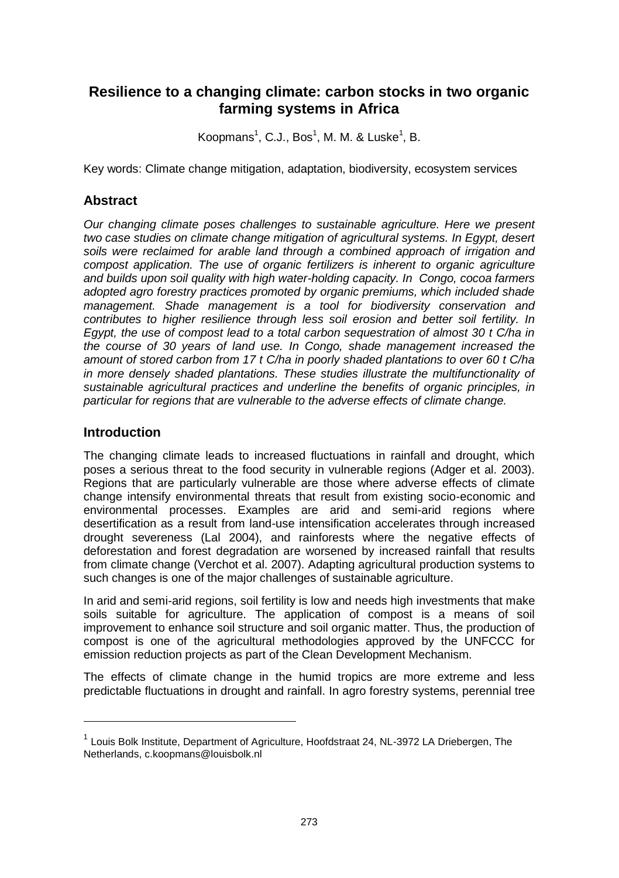# **Resilience to a changing climate: carbon stocks in two organic farming systems in Africa**

<span id="page-0-0"></span>Koopman[s](#page-0-0)<sup>1</sup>, C.J., Bos<sup>1</sup>, M. M. & Lusk[e](#page-0-0)<sup>1</sup>, B.

Key words: Climate change mitigation, adaptation, biodiversity, ecosystem services

### **Abstract**

*Our changing climate poses challenges to sustainable agriculture. Here we present two case studies on climate change mitigation of agricultural systems. In Egypt, desert soils were reclaimed for arable land through a combined approach of irrigation and compost application. The use of organic fertilizers is inherent to organic agriculture and builds upon soil quality with high water-holding capacity. In Congo, cocoa farmers adopted agro forestry practices promoted by organic premiums, which included shade management. Shade management is a tool for biodiversity conservation and contributes to higher resilience through less soil erosion and better soil fertility. In Egypt, the use of compost lead to a total carbon sequestration of almost 30 t C/ha in the course of 30 years of land use. In Congo, shade management increased the amount of stored carbon from 17 t C/ha in poorly shaded plantations to over 60 t C/ha in more densely shaded plantations. These studies illustrate the multifunctionality of sustainable agricultural practices and underline the benefits of organic principles, in particular for regions that are vulnerable to the adverse effects of climate change.* 

### **Introduction**

 $\overline{a}$ 

The changing climate leads to increased fluctuations in rainfall and drought, which poses a serious threat to the food security in vulnerable regions (Adger et al. 2003). Regions that are particularly vulnerable are those where adverse effects of climate change intensify environmental threats that result from existing socio-economic and environmental processes. Examples are arid and semi-arid regions where desertification as a result from land-use intensification accelerates through increased drought severeness (Lal 2004), and rainforests where the negative effects of deforestation and forest degradation are worsened by increased rainfall that results from climate change (Verchot et al. 2007). Adapting agricultural production systems to such changes is one of the major challenges of sustainable agriculture.

In arid and semi-arid regions, soil fertility is low and needs high investments that make soils suitable for agriculture. The application of compost is a means of soil improvement to enhance soil structure and soil organic matter. Thus, the production of compost is one of the agricultural methodologies approved by the UNFCCC for emission reduction projects as part of the Clean Development Mechanism.

The effects of climate change in the humid tropics are more extreme and less predictable fluctuations in drought and rainfall. In agro forestry systems, perennial tree

<sup>&</sup>lt;sup>1</sup> Louis Bolk Institute, Department of Agriculture, Hoofdstraat 24, NL-3972 LA Driebergen, The Netherlands, c.koopmans@louisbolk.nl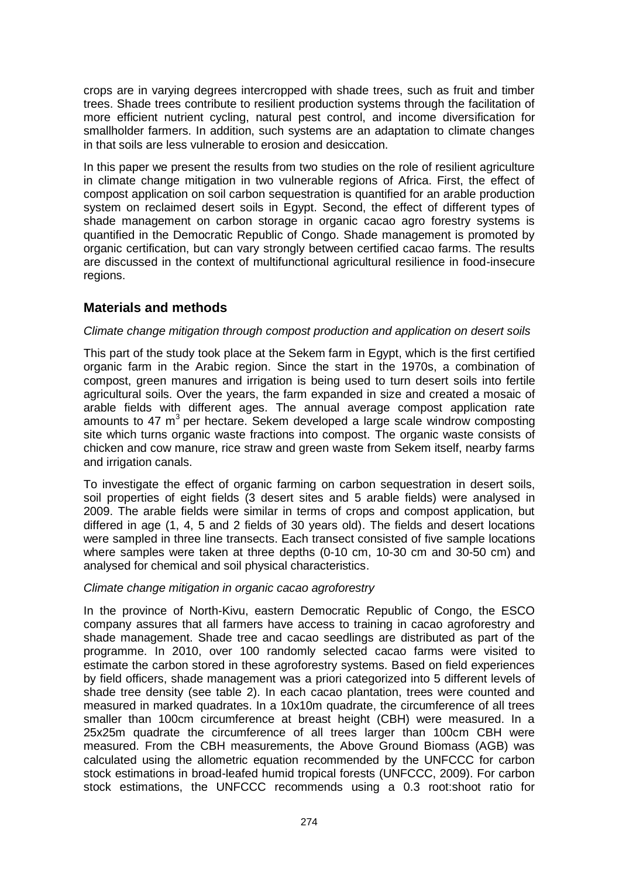crops are in varying degrees intercropped with shade trees, such as fruit and timber trees. Shade trees contribute to resilient production systems through the facilitation of more efficient nutrient cycling, natural pest control, and income diversification for smallholder farmers. In addition, such systems are an adaptation to climate changes in that soils are less vulnerable to erosion and desiccation.

In this paper we present the results from two studies on the role of resilient agriculture in climate change mitigation in two vulnerable regions of Africa. First, the effect of compost application on soil carbon sequestration is quantified for an arable production system on reclaimed desert soils in Egypt. Second, the effect of different types of shade management on carbon storage in organic cacao agro forestry systems is quantified in the Democratic Republic of Congo. Shade management is promoted by organic certification, but can vary strongly between certified cacao farms. The results are discussed in the context of multifunctional agricultural resilience in food-insecure regions.

### **Materials and methods**

### *Climate change mitigation through compost production and application on desert soils*

This part of the study took place at the Sekem farm in Egypt, which is the first certified organic farm in the Arabic region. Since the start in the 1970s, a combination of compost, green manures and irrigation is being used to turn desert soils into fertile agricultural soils. Over the years, the farm expanded in size and created a mosaic of arable fields with different ages. The annual average compost application rate amounts to 47  $m^3$  per hectare. Sekem developed a large scale windrow composting site which turns organic waste fractions into compost. The organic waste consists of chicken and cow manure, rice straw and green waste from Sekem itself, nearby farms and irrigation canals.

To investigate the effect of organic farming on carbon sequestration in desert soils, soil properties of eight fields (3 desert sites and 5 arable fields) were analysed in 2009. The arable fields were similar in terms of crops and compost application, but differed in age (1, 4, 5 and 2 fields of 30 years old). The fields and desert locations were sampled in three line transects. Each transect consisted of five sample locations where samples were taken at three depths (0-10 cm, 10-30 cm and 30-50 cm) and analysed for chemical and soil physical characteristics.

#### *Climate change mitigation in organic cacao agroforestry*

In the province of North-Kivu, eastern Democratic Republic of Congo, the ESCO company assures that all farmers have access to training in cacao agroforestry and shade management. Shade tree and cacao seedlings are distributed as part of the programme. In 2010, over 100 randomly selected cacao farms were visited to estimate the carbon stored in these agroforestry systems. Based on field experiences by field officers, shade management was a priori categorized into 5 different levels of shade tree density (see table 2). In each cacao plantation, trees were counted and measured in marked quadrates. In a 10x10m quadrate, the circumference of all trees smaller than 100cm circumference at breast height (CBH) were measured. In a 25x25m quadrate the circumference of all trees larger than 100cm CBH were measured. From the CBH measurements, the Above Ground Biomass (AGB) was calculated using the allometric equation recommended by the UNFCCC for carbon stock estimations in broad-leafed humid tropical forests (UNFCCC, 2009). For carbon stock estimations, the UNFCCC recommends using a 0.3 root:shoot ratio for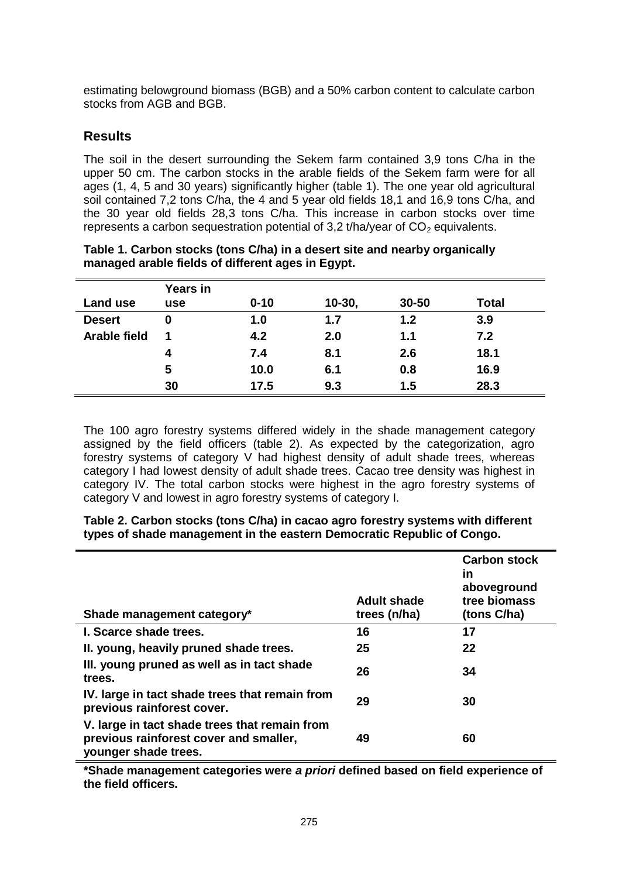estimating belowground biomass (BGB) and a 50% carbon content to calculate carbon stocks from AGB and BGB.

## **Results**

The soil in the desert surrounding the Sekem farm contained 3,9 tons C/ha in the upper 50 cm. The carbon stocks in the arable fields of the Sekem farm were for all ages (1, 4, 5 and 30 years) significantly higher (table 1). The one year old agricultural soil contained 7,2 tons C/ha, the 4 and 5 year old fields 18,1 and 16,9 tons C/ha, and the 30 year old fields 28,3 tons C/ha. This increase in carbon stocks over time represents a carbon sequestration potential of 3,2 t/ha/year of  $CO<sub>2</sub>$  equivalents.

| Land use      | Years in<br>use | $0 - 10$ | $10 - 30$ | 30-50 | <b>Total</b> |
|---------------|-----------------|----------|-----------|-------|--------------|
| <b>Desert</b> | 0               | 1.0      | 1.7       | 1.2   | 3.9          |
| Arable field  |                 | 4.2      | 2.0       | 1.1   | 7.2          |
|               | 4               | 7.4      | 8.1       | 2.6   | 18.1         |
|               | 5               | 10.0     | 6.1       | 0.8   | 16.9         |
|               | 30              | 17.5     | 9.3       | 1.5   | 28.3         |

| Table 1. Carbon stocks (tons C/ha) in a desert site and nearby organically |
|----------------------------------------------------------------------------|
| managed arable fields of different ages in Egypt.                          |

The 100 agro forestry systems differed widely in the shade management category assigned by the field officers (table 2). As expected by the categorization, agro forestry systems of category V had highest density of adult shade trees, whereas category I had lowest density of adult shade trees. Cacao tree density was highest in category IV. The total carbon stocks were highest in the agro forestry systems of category V and lowest in agro forestry systems of category I.

| Shade management category*                                                                                      | <b>Adult shade</b><br>trees (n/ha) | <b>Carbon stock</b><br>in<br>aboveground<br>tree biomass<br>(tons C/ha) |
|-----------------------------------------------------------------------------------------------------------------|------------------------------------|-------------------------------------------------------------------------|
| I. Scarce shade trees.                                                                                          | 16                                 | 17                                                                      |
| II. young, heavily pruned shade trees.                                                                          | 25                                 | 22                                                                      |
| III. young pruned as well as in tact shade<br>trees.                                                            | 26                                 | 34                                                                      |
| IV. large in tact shade trees that remain from<br>previous rainforest cover.                                    | 29                                 | 30                                                                      |
| V. large in tact shade trees that remain from<br>previous rainforest cover and smaller,<br>younger shade trees. | 49                                 | 60                                                                      |

| Table 2. Carbon stocks (tons C/ha) in cacao agro forestry systems with different |  |  |  |
|----------------------------------------------------------------------------------|--|--|--|
| types of shade management in the eastern Democratic Republic of Congo.           |  |  |  |

**\*Shade management categories were** *a priori* **defined based on field experience of the field officers.**